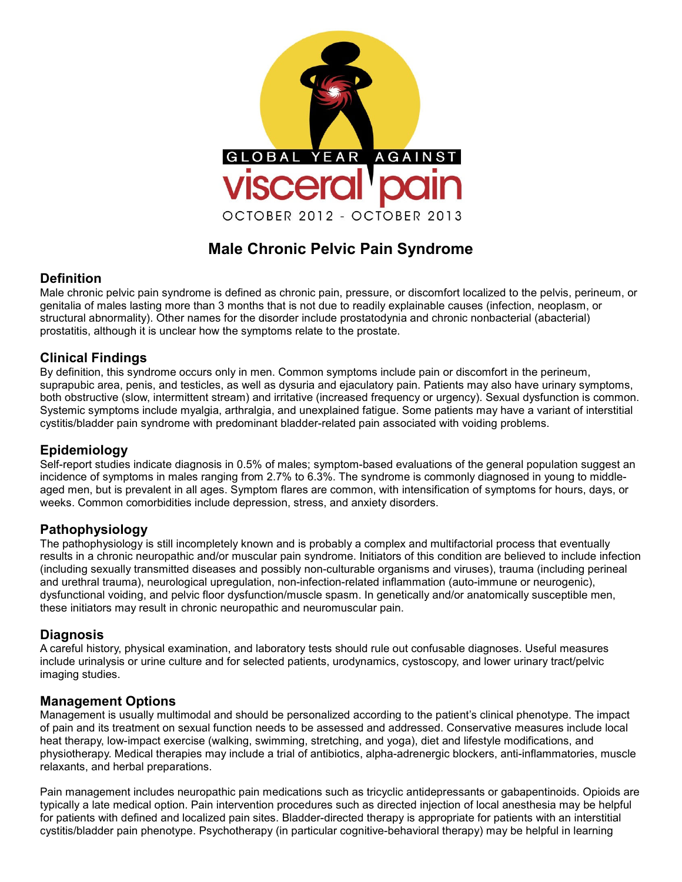

# **Male Chronic Pelvic Pain Syndrome**

### **Definition**

Male chronic pelvic pain syndrome is defined as chronic pain, pressure, or discomfort localized to the pelvis, perineum, or genitalia of males lasting more than 3 months that is not due to readily explainable causes (infection, neoplasm, or structural abnormality). Other names for the disorder include prostatodynia and chronic nonbacterial (abacterial) prostatitis, although it is unclear how the symptoms relate to the prostate.

### **Clinical Findings**

By definition, this syndrome occurs only in men. Common symptoms include pain or discomfort in the perineum, suprapubic area, penis, and testicles, as well as dysuria and ejaculatory pain. Patients may also have urinary symptoms, both obstructive (slow, intermittent stream) and irritative (increased frequency or urgency). Sexual dysfunction is common. Systemic symptoms include myalgia, arthralgia, and unexplained fatigue. Some patients may have a variant of interstitial cystitis/bladder pain syndrome with predominant bladder-related pain associated with voiding problems.

## **Epidemiology**

Self-report studies indicate diagnosis in 0.5% of males; symptom-based evaluations of the general population suggest an incidence of symptoms in males ranging from 2.7% to 6.3%. The syndrome is commonly diagnosed in young to middleaged men, but is prevalent in all ages. Symptom flares are common, with intensification of symptoms for hours, days, or weeks. Common comorbidities include depression, stress, and anxiety disorders.

### **Pathophysiology**

The pathophysiology is still incompletely known and is probably a complex and multifactorial process that eventually results in a chronic neuropathic and/or muscular pain syndrome. Initiators of this condition are believed to include infection (including sexually transmitted diseases and possibly non-culturable organisms and viruses), trauma (including perineal and urethral trauma), neurological upregulation, non-infection-related inflammation (auto-immune or neurogenic), dysfunctional voiding, and pelvic floor dysfunction/muscle spasm. In genetically and/or anatomically susceptible men, these initiators may result in chronic neuropathic and neuromuscular pain.

### **Diagnosis**

A careful history, physical examination, and laboratory tests should rule out confusable diagnoses. Useful measures include urinalysis or urine culture and for selected patients, urodynamics, cystoscopy, and lower urinary tract/pelvic imaging studies.

#### **Management Options**

Management is usually multimodal and should be personalized according to the patient's clinical phenotype. The impact of pain and its treatment on sexual function needs to be assessed and addressed. Conservative measures include local heat therapy, low-impact exercise (walking, swimming, stretching, and yoga), diet and lifestyle modifications, and physiotherapy. Medical therapies may include a trial of antibiotics, alpha-adrenergic blockers, anti-inflammatories, muscle relaxants, and herbal preparations.

Pain management includes neuropathic pain medications such as tricyclic antidepressants or gabapentinoids. Opioids are typically a late medical option. Pain intervention procedures such as directed injection of local anesthesia may be helpful for patients with defined and localized pain sites. Bladder-directed therapy is appropriate for patients with an interstitial cystitis/bladder pain phenotype. Psychotherapy (in particular cognitive-behavioral therapy) may be helpful in learning